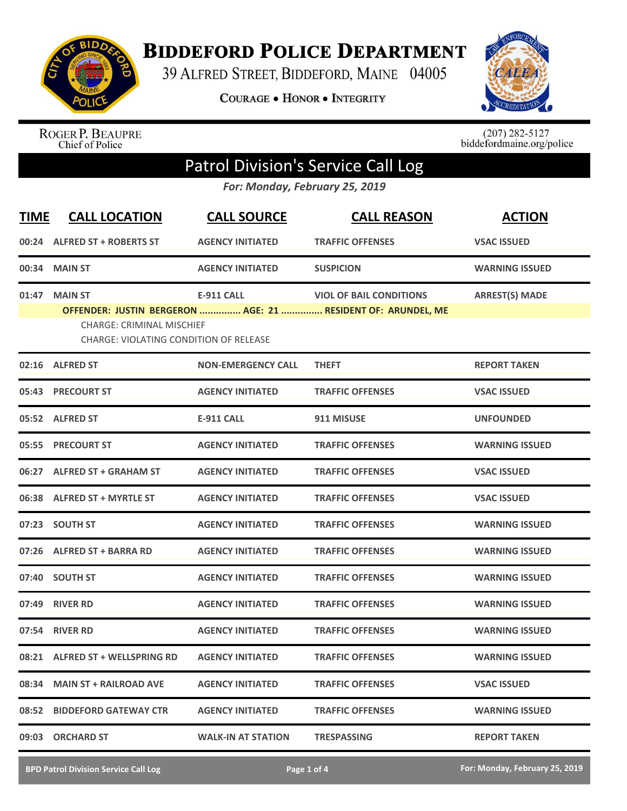

**BIDDEFORD POLICE DEPARTMENT** 

39 ALFRED STREET, BIDDEFORD, MAINE 04005

**COURAGE . HONOR . INTEGRITY** 



ROGER P. BEAUPRE<br>Chief of Police

 $(207)$  282-5127<br>biddefordmaine.org/police

## Patrol Division's Service Call Log

*For: Monday, February 25, 2019*

| <b>TIME</b> | <b>CALL LOCATION</b>                                                                               | <b>CALL SOURCE</b>        | <b>CALL REASON</b>                                                                             | <b>ACTION</b>         |
|-------------|----------------------------------------------------------------------------------------------------|---------------------------|------------------------------------------------------------------------------------------------|-----------------------|
|             | 00:24 ALFRED ST + ROBERTS ST                                                                       | <b>AGENCY INITIATED</b>   | <b>TRAFFIC OFFENSES</b>                                                                        | <b>VSAC ISSUED</b>    |
|             | 00:34 MAIN ST                                                                                      | <b>AGENCY INITIATED</b>   | <b>SUSPICION</b>                                                                               | <b>WARNING ISSUED</b> |
|             | 01:47 MAIN ST<br><b>CHARGE: CRIMINAL MISCHIEF</b><br><b>CHARGE: VIOLATING CONDITION OF RELEASE</b> | <b>E-911 CALL</b>         | <b>VIOL OF BAIL CONDITIONS</b><br>OFFENDER: JUSTIN BERGERON  AGE: 21  RESIDENT OF: ARUNDEL, ME | <b>ARREST(S) MADE</b> |
|             | 02:16 ALFRED ST                                                                                    | <b>NON-EMERGENCY CALL</b> | <b>THEFT</b>                                                                                   | <b>REPORT TAKEN</b>   |
|             | 05:43 PRECOURT ST                                                                                  | <b>AGENCY INITIATED</b>   | <b>TRAFFIC OFFENSES</b>                                                                        | <b>VSAC ISSUED</b>    |
|             | 05:52 ALFRED ST                                                                                    | <b>E-911 CALL</b>         | 911 MISUSE                                                                                     | <b>UNFOUNDED</b>      |
|             | 05:55 PRECOURT ST                                                                                  | <b>AGENCY INITIATED</b>   | <b>TRAFFIC OFFENSES</b>                                                                        | <b>WARNING ISSUED</b> |
|             | 06:27 ALFRED ST + GRAHAM ST                                                                        | <b>AGENCY INITIATED</b>   | <b>TRAFFIC OFFENSES</b>                                                                        | <b>VSAC ISSUED</b>    |
|             | 06:38 ALFRED ST + MYRTLE ST                                                                        | <b>AGENCY INITIATED</b>   | <b>TRAFFIC OFFENSES</b>                                                                        | <b>VSAC ISSUED</b>    |
|             | 07:23 SOUTH ST                                                                                     | <b>AGENCY INITIATED</b>   | <b>TRAFFIC OFFENSES</b>                                                                        | <b>WARNING ISSUED</b> |
|             | 07:26 ALFRED ST + BARRA RD                                                                         | <b>AGENCY INITIATED</b>   | <b>TRAFFIC OFFENSES</b>                                                                        | <b>WARNING ISSUED</b> |
|             | 07:40 SOUTH ST                                                                                     | <b>AGENCY INITIATED</b>   | <b>TRAFFIC OFFENSES</b>                                                                        | <b>WARNING ISSUED</b> |
|             | 07:49 RIVER RD                                                                                     | <b>AGENCY INITIATED</b>   | <b>TRAFFIC OFFENSES</b>                                                                        | <b>WARNING ISSUED</b> |
|             | 07:54 RIVER RD                                                                                     | <b>AGENCY INITIATED</b>   | <b>TRAFFIC OFFENSES</b>                                                                        | <b>WARNING ISSUED</b> |
|             | 08:21 ALFRED ST + WELLSPRING RD                                                                    | <b>AGENCY INITIATED</b>   | <b>TRAFFIC OFFENSES</b>                                                                        | <b>WARNING ISSUED</b> |
| 08:34       | <b>MAIN ST + RAILROAD AVE</b>                                                                      | <b>AGENCY INITIATED</b>   | <b>TRAFFIC OFFENSES</b>                                                                        | <b>VSAC ISSUED</b>    |
| 08:52       | <b>BIDDEFORD GATEWAY CTR</b>                                                                       | <b>AGENCY INITIATED</b>   | <b>TRAFFIC OFFENSES</b>                                                                        | <b>WARNING ISSUED</b> |
| 09:03       | <b>ORCHARD ST</b>                                                                                  | <b>WALK-IN AT STATION</b> | <b>TRESPASSING</b>                                                                             | <b>REPORT TAKEN</b>   |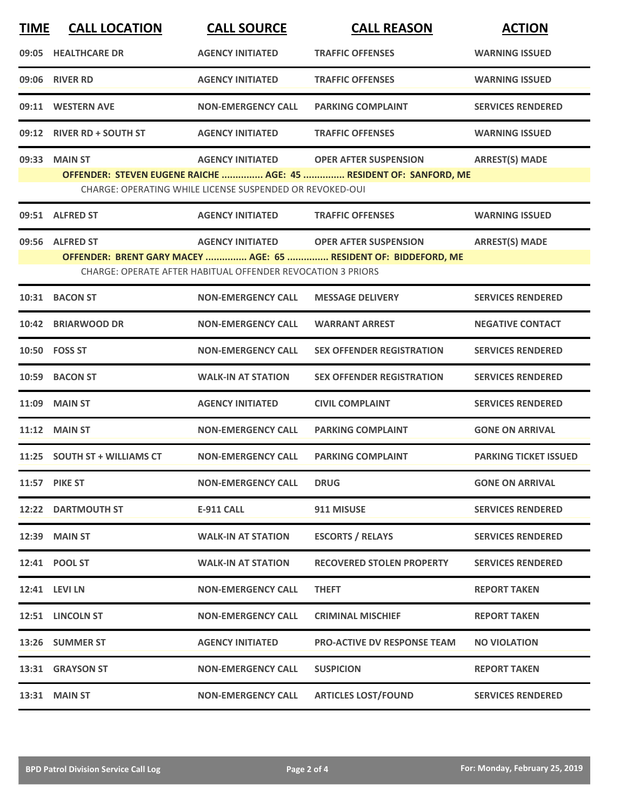| <b>TIME</b> | <b>CALL LOCATION</b>         | <b>CALL SOURCE</b>                                                                     | <b>CALL REASON</b>                                                                                | <b>ACTION</b>                |
|-------------|------------------------------|----------------------------------------------------------------------------------------|---------------------------------------------------------------------------------------------------|------------------------------|
| 09:05       | <b>HEALTHCARE DR</b>         | <b>AGENCY INITIATED</b>                                                                | <b>TRAFFIC OFFENSES</b>                                                                           | <b>WARNING ISSUED</b>        |
|             | 09:06 RIVER RD               | <b>AGENCY INITIATED</b>                                                                | <b>TRAFFIC OFFENSES</b>                                                                           | <b>WARNING ISSUED</b>        |
|             | 09:11 WESTERN AVE            | <b>NON-EMERGENCY CALL</b>                                                              | <b>PARKING COMPLAINT</b>                                                                          | <b>SERVICES RENDERED</b>     |
|             | 09:12 RIVER RD + SOUTH ST    | <b>AGENCY INITIATED</b>                                                                | <b>TRAFFIC OFFENSES</b>                                                                           | <b>WARNING ISSUED</b>        |
| 09:33       | <b>MAIN ST</b>               | <b>AGENCY INITIATED</b><br>CHARGE: OPERATING WHILE LICENSE SUSPENDED OR REVOKED-OUI    | <b>OPER AFTER SUSPENSION</b><br>OFFENDER: STEVEN EUGENE RAICHE  AGE: 45  RESIDENT OF: SANFORD, ME | <b>ARREST(S) MADE</b>        |
|             | 09:51 ALFRED ST              | <b>AGENCY INITIATED</b>                                                                | <b>TRAFFIC OFFENSES</b>                                                                           | <b>WARNING ISSUED</b>        |
|             | 09:56 ALFRED ST              | <b>AGENCY INITIATED</b><br>CHARGE: OPERATE AFTER HABITUAL OFFENDER REVOCATION 3 PRIORS | <b>OPER AFTER SUSPENSION</b><br>OFFENDER: BRENT GARY MACEY  AGE: 65  RESIDENT OF: BIDDEFORD, ME   | <b>ARREST(S) MADE</b>        |
|             | 10:31 BACON ST               | <b>NON-EMERGENCY CALL</b>                                                              | <b>MESSAGE DELIVERY</b>                                                                           | <b>SERVICES RENDERED</b>     |
|             | 10:42 BRIARWOOD DR           | <b>NON-EMERGENCY CALL</b>                                                              | <b>WARRANT ARREST</b>                                                                             | <b>NEGATIVE CONTACT</b>      |
|             | 10:50 FOSS ST                | <b>NON-EMERGENCY CALL</b>                                                              | <b>SEX OFFENDER REGISTRATION</b>                                                                  | <b>SERVICES RENDERED</b>     |
| 10:59       | <b>BACON ST</b>              | <b>WALK-IN AT STATION</b>                                                              | <b>SEX OFFENDER REGISTRATION</b>                                                                  | <b>SERVICES RENDERED</b>     |
| 11:09       | <b>MAIN ST</b>               | <b>AGENCY INITIATED</b>                                                                | <b>CIVIL COMPLAINT</b>                                                                            | <b>SERVICES RENDERED</b>     |
|             | $11:12$ MAIN ST              | <b>NON-EMERGENCY CALL</b>                                                              | <b>PARKING COMPLAINT</b>                                                                          | <b>GONE ON ARRIVAL</b>       |
|             | 11:25 SOUTH ST + WILLIAMS CT | <b>NON-EMERGENCY CALL</b>                                                              | <b>PARKING COMPLAINT</b>                                                                          | <b>PARKING TICKET ISSUED</b> |
|             | 11:57 PIKE ST                | <b>NON-EMERGENCY CALL</b>                                                              | <b>DRUG</b>                                                                                       | <b>GONE ON ARRIVAL</b>       |
|             | <b>12:22 DARTMOUTH ST</b>    | E-911 CALL                                                                             | 911 MISUSE                                                                                        | <b>SERVICES RENDERED</b>     |
|             | 12:39 MAIN ST                | <b>WALK-IN AT STATION</b>                                                              | <b>ESCORTS / RELAYS</b>                                                                           | <b>SERVICES RENDERED</b>     |
|             | 12:41 POOL ST                | <b>WALK-IN AT STATION</b>                                                              | <b>RECOVERED STOLEN PROPERTY</b>                                                                  | <b>SERVICES RENDERED</b>     |
|             | 12:41 LEVI LN                | <b>NON-EMERGENCY CALL</b>                                                              | <b>THEFT</b>                                                                                      | <b>REPORT TAKEN</b>          |
|             | 12:51 LINCOLN ST             | <b>NON-EMERGENCY CALL</b>                                                              | <b>CRIMINAL MISCHIEF</b>                                                                          | <b>REPORT TAKEN</b>          |
|             | 13:26 SUMMER ST              | <b>AGENCY INITIATED</b>                                                                | <b>PRO-ACTIVE DV RESPONSE TEAM</b>                                                                | <b>NO VIOLATION</b>          |
|             | 13:31 GRAYSON ST             | <b>NON-EMERGENCY CALL</b>                                                              | <b>SUSPICION</b>                                                                                  | <b>REPORT TAKEN</b>          |
|             | 13:31 MAIN ST                | <b>NON-EMERGENCY CALL</b>                                                              | <b>ARTICLES LOST/FOUND</b>                                                                        | <b>SERVICES RENDERED</b>     |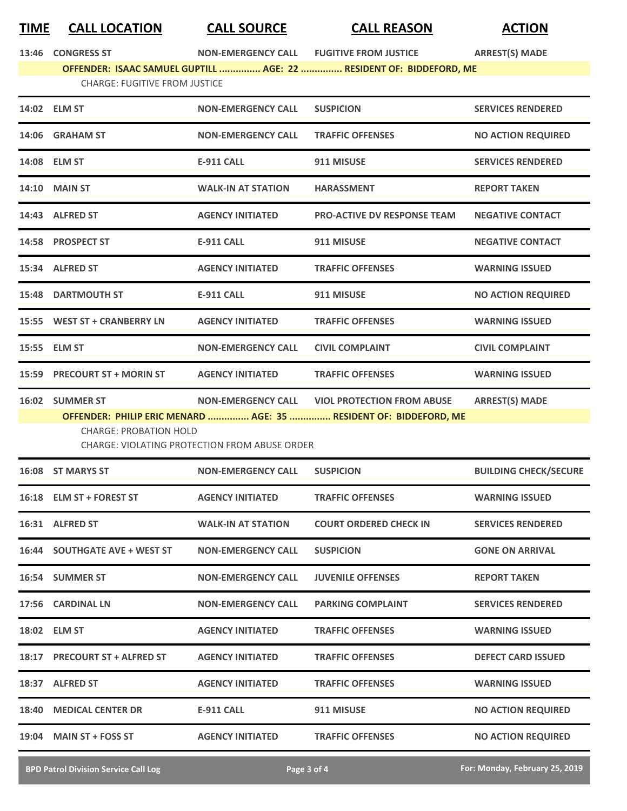## **TIME CALL LOCATION CALL SOURCE CALL REASON ACTION**

| 13:46 CONGRESS ST |  |
|-------------------|--|
|                   |  |

**13:466 INON-EMERGENCY CALL FUGITIVE FROM JUSTICE ARREST(S) MADE** 

**OFFENDER: ISAAC SAMUEL GUPTILL ............... AGE: 22 ............... RESIDENT OF: BIDDEFORD, ME** CHARGE: FUGITIVE FROM JUSTICE

| 14:02 ELM ST                  | <b>NON-EMERGENCY CALL</b>                            | <b>SUSPICION</b>                                                  | <b>SERVICES RENDERED</b>     |
|-------------------------------|------------------------------------------------------|-------------------------------------------------------------------|------------------------------|
| 14:06 GRAHAM ST               | <b>NON-EMERGENCY CALL</b>                            | <b>TRAFFIC OFFENSES</b>                                           | <b>NO ACTION REQUIRED</b>    |
| 14:08 ELM ST                  | E-911 CALL                                           | 911 MISUSE                                                        | <b>SERVICES RENDERED</b>     |
| <b>14:10 MAIN ST</b>          | <b>WALK-IN AT STATION</b>                            | <b>HARASSMENT</b>                                                 | <b>REPORT TAKEN</b>          |
| 14:43 ALFRED ST               | <b>AGENCY INITIATED</b>                              | <b>PRO-ACTIVE DV RESPONSE TEAM</b>                                | <b>NEGATIVE CONTACT</b>      |
| 14:58 PROSPECT ST             | <b>E-911 CALL</b>                                    | 911 MISUSE                                                        | <b>NEGATIVE CONTACT</b>      |
| 15:34 ALFRED ST               | <b>AGENCY INITIATED</b>                              | <b>TRAFFIC OFFENSES</b>                                           | <b>WARNING ISSUED</b>        |
| <b>15:48 DARTMOUTH ST</b>     | <b>E-911 CALL</b>                                    | 911 MISUSE                                                        | <b>NO ACTION REQUIRED</b>    |
| 15:55 WEST ST + CRANBERRY LN  | <b>AGENCY INITIATED</b>                              | <b>TRAFFIC OFFENSES</b>                                           | <b>WARNING ISSUED</b>        |
| 15:55 ELM ST                  | <b>NON-EMERGENCY CALL</b>                            | <b>CIVIL COMPLAINT</b>                                            | <b>CIVIL COMPLAINT</b>       |
| 15:59 PRECOURT ST + MORIN ST  | <b>AGENCY INITIATED</b>                              | <b>TRAFFIC OFFENSES</b>                                           | <b>WARNING ISSUED</b>        |
| 16:02 SUMMER ST               |                                                      | NON-EMERGENCY CALL VIOL PROTECTION FROM ABUSE                     | <b>ARREST(S) MADE</b>        |
| <b>CHARGE: PROBATION HOLD</b> | <b>CHARGE: VIOLATING PROTECTION FROM ABUSE ORDER</b> | OFFENDER: PHILIP ERIC MENARD  AGE: 35  RESIDENT OF: BIDDEFORD, ME |                              |
| 16:08 ST MARYS ST             | <b>NON-EMERGENCY CALL</b>                            | <b>SUSPICION</b>                                                  | <b>BUILDING CHECK/SECURE</b> |
| 16:18 ELM ST + FOREST ST      | <b>AGENCY INITIATED</b>                              | <b>TRAFFIC OFFENSES</b>                                           | <b>WARNING ISSUED</b>        |
| 16:31 ALFRED ST               | <b>WALK-IN AT STATION</b>                            | <b>COURT ORDERED CHECK IN</b>                                     | <b>SERVICES RENDERED</b>     |
| 16:44 SOUTHGATE AVE + WEST ST | <b>NON-EMERGENCY CALL</b>                            | <b>SUSPICION</b>                                                  | <b>GONE ON ARRIVAL</b>       |
| <b>16:54 SUMMER ST</b>        | <b>NON-EMERGENCY CALL</b>                            | <b>JUVENILE OFFENSES</b>                                          | <b>REPORT TAKEN</b>          |
| 17:56 CARDINAL LN             | <b>NON-EMERGENCY CALL</b>                            | <b>PARKING COMPLAINT</b>                                          | <b>SERVICES RENDERED</b>     |
| 18:02 ELM ST                  | <b>AGENCY INITIATED</b>                              | <b>TRAFFIC OFFENSES</b>                                           | <b>WARNING ISSUED</b>        |
| 18:17 PRECOURT ST + ALFRED ST | <b>AGENCY INITIATED</b>                              | <b>TRAFFIC OFFENSES</b>                                           | <b>DEFECT CARD ISSUED</b>    |
| 18:37 ALFRED ST               | <b>AGENCY INITIATED</b>                              | <b>TRAFFIC OFFENSES</b>                                           | <b>WARNING ISSUED</b>        |
| 18:40 MEDICAL CENTER DR       | <b>E-911 CALL</b>                                    | 911 MISUSE                                                        | <b>NO ACTION REQUIRED</b>    |

**19:04 MAIN ST + FOSS ST AGENCY INITIATED TRAFFIC OFFENSES NO ACTION REQUIRED**